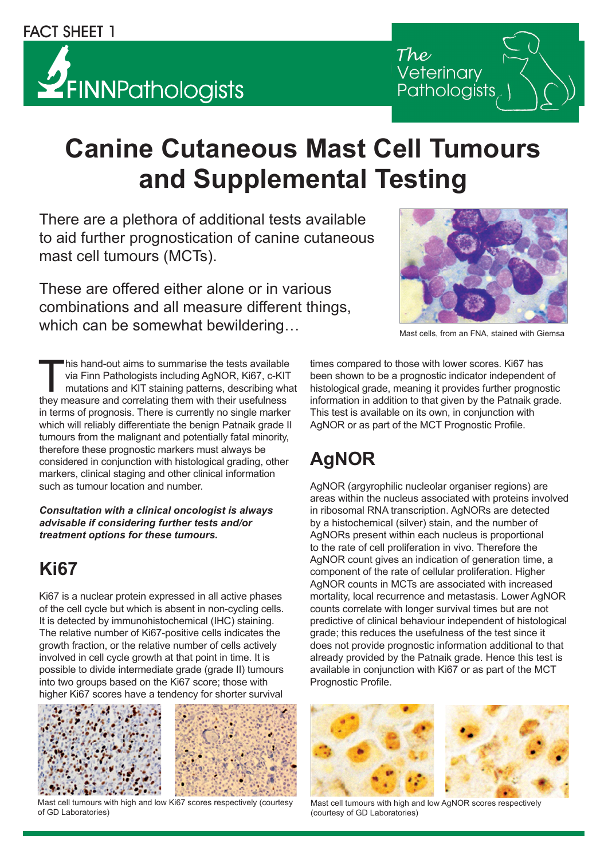# $Z$ FINNPathologists

# **Canine Cutaneous Mast Cell Tumours and Supplemental Testing**

There are a plethora of additional tests available to aid further prognostication of canine cutaneous mast cell tumours (MCTs).

These are offered either alone or in various combinations and all measure different things, which can be somewhat bewildering…

This hand-out aims to summarise the tests available<br>via Finn Pathologists including AgNOR, Ki67, c-KIT<br>mutations and KIT staining patterns, describing what<br>they measure and correlating them with their usefulness via Finn Pathologists including AgNOR, Ki67, c-KIT mutations and KIT staining patterns, describing what they measure and correlating them with their usefulness in terms of prognosis. There is currently no single marker which will reliably differentiate the benign Patnaik grade II tumours from the malignant and potentially fatal minority, therefore these prognostic markers must always be considered in conjunction with histological grading, other markers, clinical staging and other clinical information such as tumour location and number.

*Consultation with a clinical oncologist is always advisable if considering further tests and/or treatment options for these tumours.*

#### **Ki67**

Ki67 is a nuclear protein expressed in all active phases of the cell cycle but which is absent in non-cycling cells. It is detected by immunohistochemical (IHC) staining. The relative number of Ki67-positive cells indicates the growth fraction, or the relative number of cells actively involved in cell cycle growth at that point in time. It is possible to divide intermediate grade (grade II) tumours into two groups based on the Ki67 score; those with higher Ki67 scores have a tendency for shorter survival



Mast cell tumours with high and low Ki67 scores respectively (courtesy of GD Laboratories)



Mast cells, from an FNA, stained with Giemsa

times compared to those with lower scores. Ki67 has been shown to be a prognostic indicator independent of histological grade, meaning it provides further prognostic information in addition to that given by the Patnaik grade. This test is available on its own, in conjunction with AgNOR or as part of the MCT Prognostic Profile.

# **AgNOR**

AgNOR (argyrophilic nucleolar organiser regions) are areas within the nucleus associated with proteins involved in ribosomal RNA transcription. AgNORs are detected by a histochemical (silver) stain, and the number of AgNORs present within each nucleus is proportional to the rate of cell proliferation in vivo. Therefore the AgNOR count gives an indication of generation time, a component of the rate of cellular proliferation. Higher AgNOR counts in MCTs are associated with increased mortality, local recurrence and metastasis. Lower AgNOR counts correlate with longer survival times but are not predictive of clinical behaviour independent of histological grade; this reduces the usefulness of the test since it does not provide prognostic information additional to that already provided by the Patnaik grade. Hence this test is available in conjunction with Ki67 or as part of the MCT Prognostic Profile.





Mast cell tumours with high and low AgNOR scores respectively (courtesy of GD Laboratories)